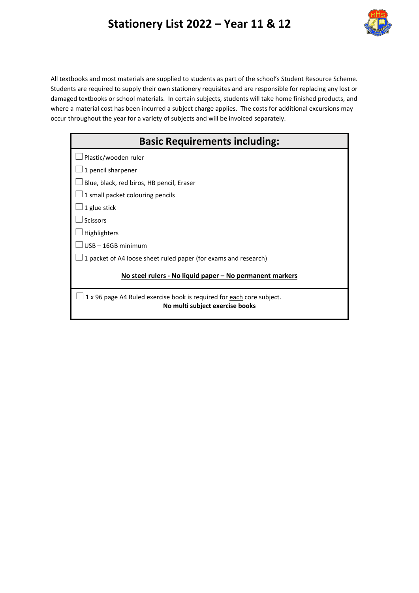## **Stationery List 2022 – Year 11 & 12**



All textbooks and most materials are supplied to students as part of the school's Student Resource Scheme. Students are required to supply their own stationery requisites and are responsible for replacing any lost or damaged textbooks or school materials. In certain subjects, students will take home finished products, and where a material cost has been incurred a subject charge applies. The costs for additional excursions may occur throughout the year for a variety of subjects and will be invoiced separately.

| <b>Basic Requirements including:</b>                                                                     |  |  |
|----------------------------------------------------------------------------------------------------------|--|--|
| Plastic/wooden ruler                                                                                     |  |  |
| 1 pencil sharpener                                                                                       |  |  |
| Blue, black, red biros, HB pencil, Eraser                                                                |  |  |
| $\perp$ 1 small packet colouring pencils                                                                 |  |  |
| 1 glue stick                                                                                             |  |  |
| <b>Scissors</b>                                                                                          |  |  |
| Highlighters                                                                                             |  |  |
| USB-16GB minimum                                                                                         |  |  |
| 1 packet of A4 loose sheet ruled paper (for exams and research)                                          |  |  |
| No steel rulers - No liquid paper – No permanent markers                                                 |  |  |
| 1 x 96 page A4 Ruled exercise book is required for each core subject.<br>No multi subject exercise books |  |  |